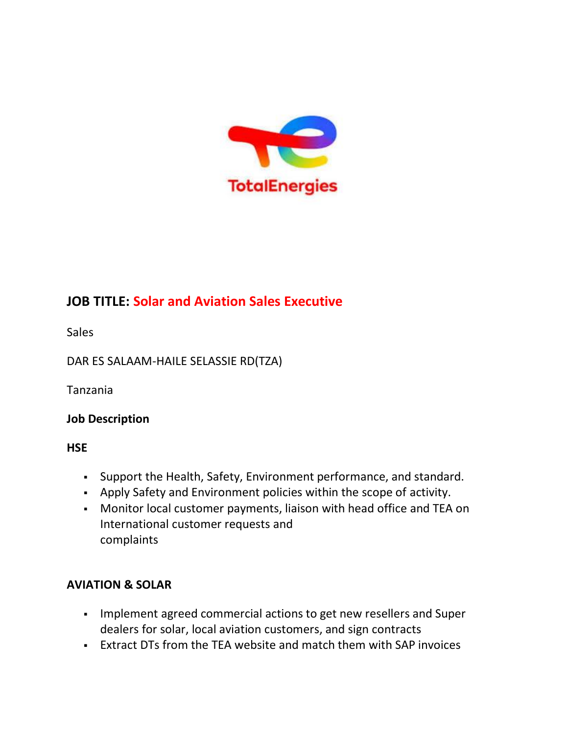

## **JOB TITLE: Solar and Aviation Sales Executive**

**Sales** 

DAR ES SALAAM-HAILE SELASSIE RD(TZA)

Tanzania

#### **Job Description**

**HSE**

- Support the Health, Safety, Environment performance, and standard.
- Apply Safety and Environment policies within the scope of activity.
- Monitor local customer payments, liaison with head office and TEA on International customer requests and complaints

### **AVIATION & SOLAR**

- Implement agreed commercial actions to get new resellers and Super dealers for solar, local aviation customers, and sign contracts
- Extract DTs from the TEA website and match them with SAP invoices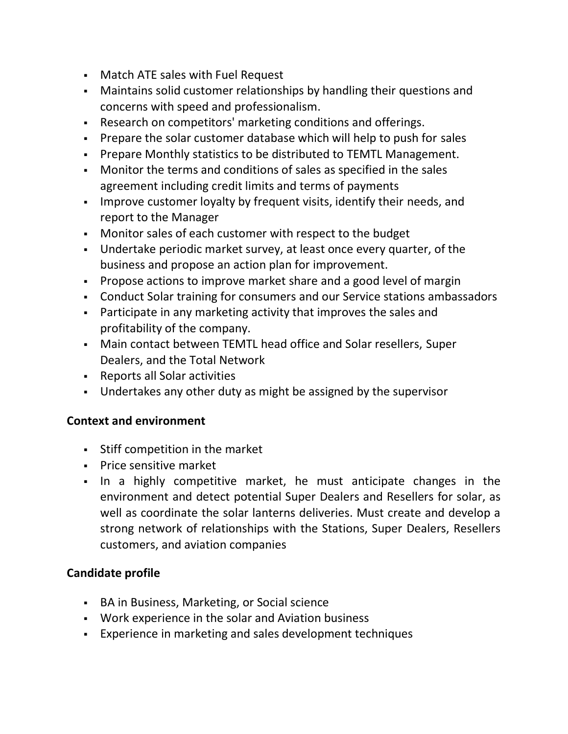- Match ATE sales with Fuel Request
- Maintains solid customer relationships by handling their questions and concerns with speed and professionalism.
- Research on competitors' marketing conditions and offerings.
- Prepare the solar customer database which will help to push for sales
- Prepare Monthly statistics to be distributed to TEMTL Management.
- Monitor the terms and conditions of sales as specified in the sales agreement including credit limits and terms of payments
- Improve customer loyalty by frequent visits, identify their needs, and report to the Manager
- Monitor sales of each customer with respect to the budget
- Undertake periodic market survey, at least once every quarter, of the business and propose an action plan for improvement.
- Propose actions to improve market share and a good level of margin
- Conduct Solar training for consumers and our Service stations ambassadors
- Participate in any marketing activity that improves the sales and profitability of the company.
- Main contact between TEMTL head office and Solar resellers, Super Dealers, and the Total Network
- Reports all Solar activities
- Undertakes any other duty as might be assigned by the supervisor

#### **Context and environment**

- Stiff competition in the market
- **Price sensitive market**
- In a highly competitive market, he must anticipate changes in the environment and detect potential Super Dealers and Resellers for solar, as well as coordinate the solar lanterns deliveries. Must create and develop a strong network of relationships with the Stations, Super Dealers, Resellers customers, and aviation companies

#### **Candidate profile**

- **BA in Business, Marketing, or Social science**
- Work experience in the solar and Aviation business
- Experience in marketing and sales development techniques